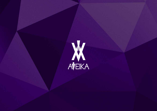